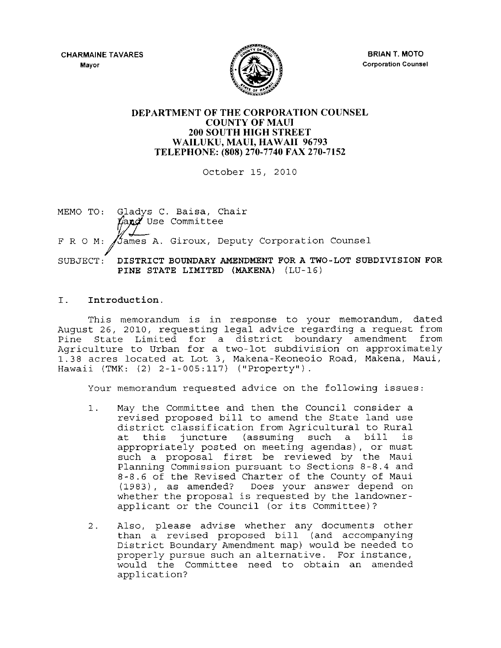CHARMAINE TAVARES **Mayor** 



BRIAN T. MOTO **Corporation Counsel** 

# DEPARTMENT OF THE CORPORATION COUNSEL COUNTY OF MAUl 200 SOUTH HIGH STREET WAILUKU, MAUl, HAWAII 96793 TELEPHONE: (808) 270-7740 FAX 270-7152

October 15, 2010

MEMO TO: Gladys C. Baisa, Chair Land Use Committee F R O M: Stames A. Giroux, Deputy Corporation Counsel SUBJECT: DISTRICT BOUNDARY AMENDMENT FOR A TWO-LOT SUBDIVISION FOR PINE STATE LIMITED (MAKENA) (LU-16)

# I. Introduction.

This memorandum is in response to your memorandum, dated August 26, 2010, requesting legal advice regarding a request from Pine State Limited for a district boundary amendment from Agriculture to Urban for a two-lot subdivision on approximately 1.38 acres located at Lot 3, Makena-Keoneoio Road, Makena, Maui, Hawaii (TMK: (2) 2-1-005:117) ("Property").

Your memorandum requested advice on the following issues:

- 1. May the Committee and then the Council consider a revised proposed bill to amend the State land use district classification from Agricultural to Rural<br>at this juncture (assuming such a bill is juncture (assuming such a bill appropriately posted on meeting agendas), or must such a proposal first be reviewed by the Maui Planning Commission pursuant to Sections 8-8.4 and 8-8.6 of the Revised Charter of the County of Maui (1983), as amended? Does your answer depend on whether the proposal is requested by the landownerapplicant or the Council (or its Committee)?
- 2. Also, please advise whether any documents other than a revised proposed bill (and accompanying District Boundary Amendment map) would be needed to properly pursue such an alternative. For instance, would the Committee need to obtain an amended application?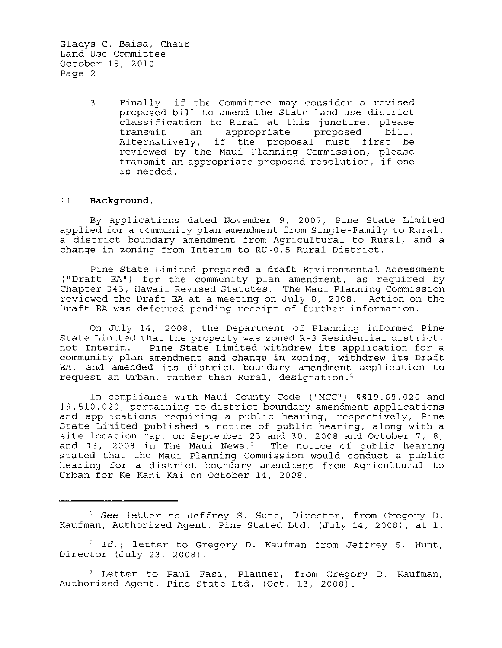> 3. Finally, if the Committee may consider a revised proposed bill to amend the State land use district classification to Rural at this juncture, please<br>transmit an appropriate proposed bill. transmit an appropriate proposed bill. Alternatively, if the proposal must first be reviewed by the Maui Planning Commission, please transmit an appropriate proposed resolution, if one is needed.

#### II. **Background.**

By applications dated November 9, 2007, Pine State Limited applied for a community plan amendment from Single-Family to Rural, a district boundary amendment from Agricultural to Rural, and a change in zoning from Interim to RU-0.5 Rural District.

Pine State Limited prepared a draft Environmental Assessment ("Draft EA") for the community plan amendment, as required by Chapter 343, Hawaii Revised Statutes. The Maui Planning Commission reviewed the Draft EA at a meeting on July 8, 2008. Action on the Draft EA was deferred pending receipt of further information.

On July 14, 2008, the Department of Planning informed Pine State Limited that the property was zoned R-3 Residential district, not Interim.' Pine State Limited withdrew its application for a community plan amendment and change in zoning, withdrew its Draft EA, and amended its district boundary amendment application to request an Urban, rather than Rural, designation.'

In compliance with Maui County Code ("MCC") §§19.68.020 and 19.510.020, pertaining to district boundary amendment applications and applications requiring a public hearing, respectively, Pine State Limited published a notice of public hearing, along with a site location map, on September 23 and 30, 2008 and October 7, 8, and 13, 2008 in The Maui News.<sup>3</sup> The notice of public hearing stated that the Maui Planning Commission would conduct a public hearing for a district boundary amendment from Agricultural to Urban for Ke Kani Kai on October 14, 2008.

<sup>1</sup>*See* letter to Jeffrey S. Hunt, Director, from Gregory D. Kaufman, Authorized Agent, Pine Stated Ltd. (July 14, 2008), at 1.

<sup>2</sup>*Id.;* letter to Gregory D. Kaufman from Jeffrey S. Hunt, Director (July 23, 2008).

<sup>3</sup> Letter to Paul Fasi, Planner, from Gregory D. Kaufman, Authorized Agent, Pine State Ltd. (Oct. 13, 2008).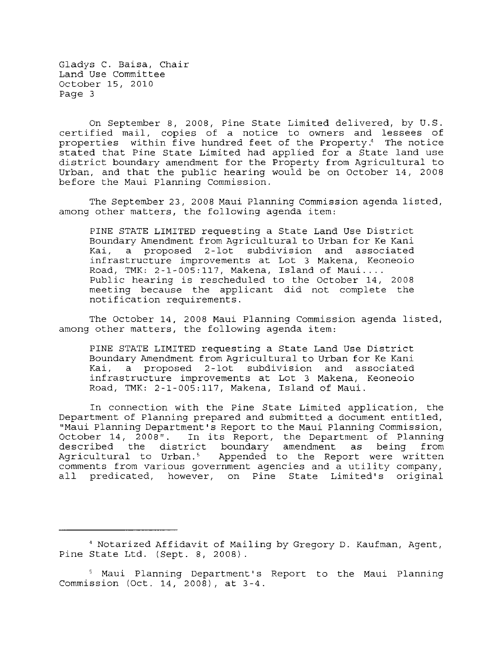On September 8, 2008, Pine State Limited delivered, by U.S. certified mail, copies of a notice to owners and lessees of properties within five hundred feet of the Property.4 The notice stated that Pine State Limited had applied for a State land use district boundary amendment for the Property from Agricultural to Urban, and that the public hearing would be on October 14, 2008 before the Maui Planning Commission.

The September 23, 2008 Maui Planning Commission agenda listed, among other matters, the following agenda item:

PINE STATE LIMITED requesting a State Land Use District Boundary Amendment from Agricultural to Urban for Ke Kani a proposed 2-1ot subdivision and associated infrastructure improvements at Lot 3 Makena, Keoneoio Road, TMK: 2-1-005:117, Makena, Island of Maui .... Public hearing is rescheduled to the October 14, 2008 meeting because the applicant did not complete the notification requirements.

The October 14, 2008 Maui Planning Commission agenda listed, among other matters, the following agenda item:

PINE STATE LIMITED requesting a State Land Use District Boundary Amendment from Agricultural to Urban for Ke Kani a proposed 2-1ot subdivision and associated infrastructure improvements at Lot 3 Makena, Keoneoio Road, TMK: 2-1-005:117, Makena, Island of Maui.

In connection with the Pine State Limited application, the Department of Planning prepared and submitted a document entitled, "Maui Planning Department's Report to the Maui Planning Commission, October 14, 2008". In its Report, the Department of Planning<br>described the district boundary amendment as being from the district boundary amendment as being Agricultural to Urban.<sup>5</sup> Appended to the Report were written comments from various government agencies and a utility company, all predicated, however, on Pine State Limited's original

<sup>4</sup> Notarized Affidavit of Mailing by Gregory D. Kaufman, Agent, Pine State Ltd. (Sept. 8, 2008).

Maui Planning Department's Report to the Maui Planning commission (Oct. 14, 2008), at 3-4.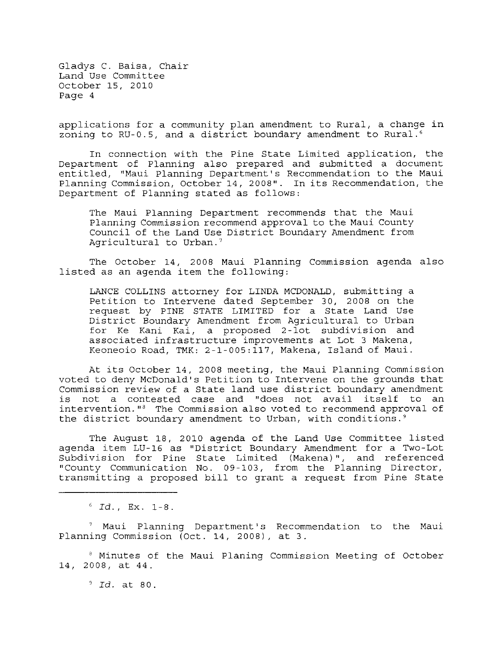applications for a community plan amendment to Rural, a change in zoning to RU-0.5, and a district boundary amendment to Rural.<sup>6</sup>

In connection with the Pine State Limited application, the Department of Planning also prepared and submitted a document entitled, "Maui Planning Department's Recommendation to the Maui Planning Commission, October 14, 2008". In its Recommendation, the Department of Planning stated as follows:

The Maui Planning Department recommends that the Maui Planning Commission recommend approval to the Maui County Council of the Land Use District Boundary Amendment from Agricultural to Urban.'

The October 14, 2008 Maui Planning Commission agenda also listed as an agenda item the following:

LANCE COLLINS attorney for LINDA MCDONALD, submitting a Petition to Intervene dated September 30, 2008 on the request by PINE STATE LIMITED for a State Land Use District Boundary Amendment from Agricultural to Urban for Ke Kani Kai, a proposed 2-1ot subdivision and associated infrastructure improvements at Lot 3 Makena, Keoneoio Road, TMK: 2-1-005:117, Makena, Island of Maui.

At its October 14, 2008 meeting, the Maui Planning Commission voted to deny McDonald's Petition to Intervene on the grounds that Commission review of a State land use district boundary amendment not a contested case and "does not avail itself to an intervention.  $I<sup>8</sup>$  The Commission also voted to recommend approval of the district boundary amendment to Urban, with conditions.'

The August 18, 2010 agenda of the Land Use Committee listed agenda item LU-16 as "District Boundary Amendment for a Two-Lot Subdivision for Pine State Limited (Makena)", and referenced "County Communication No. 09-103, from the Planning Director, transmitting a proposed bill to grant a request from Pine State

 $f^6$  *Id.*, Ex. 1-8.

Maui Planning Department's Recommendation to the Maui Planning Commission (Oct. 14, 2008), at 3.

<sup>8</sup> Minutes of the Maui Planing Commission Meeting of October 14, 2008, at 44.

*, Id.* at 80.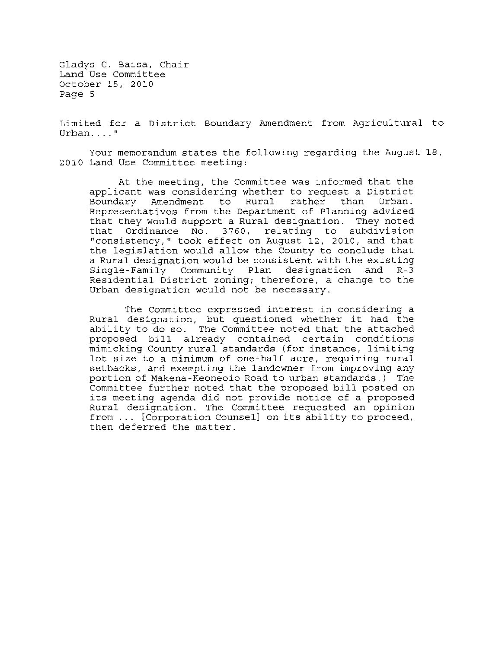Limited for a District Boundary Amendment from Agricultural to **Urban .... "** 

Your memorandum states the following regarding the August 18, 2010 Land Use Committee meeting:

At the meeting, the Committee was informed that the applicant was considering whether to request a District<br>Boundary Amendment to Rural rather than Urban. Boundary Amendment to Rural Representatives from the Department of Planning advised that they would support a Rural designation. They noted Ordinance No. 3760, relating to subdivision "consistency," took effect on August 12, 2010, and that the legislation would allow the County to conclude that a Rural designation would be consistent with the existing<br>Single-Family Community Plan designation and R-3 Single-Family Community Plan designation Residential District zoning; therefore, a change to the Urban designation would not be necessary.

The Committee expressed interest in considering a Rural designation, but questioned whether it had the ability to do so. The Committee noted that the attached proposed bill already contained certain conditions mimicking County rural standards (for instance, limiting lot size to a minimum of one-half acre, requiring rural setbacks, and exempting the landowner from improving any portion of Makena-Keoneoio Road to urban standards.) The Committee further noted that the proposed bill posted on its meeting agenda did not provide notice of a proposed Rural designation. The Committee requested an opinion from ... [Corporation Counsell on its ability to proceed, then deferred the matter.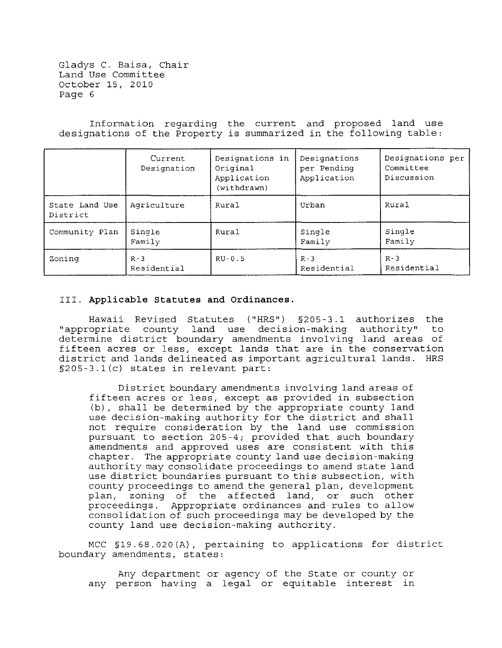Information regarding the current and proposed land use designations of the Property is summarized in the following table:

|                            | Current<br>Designation | Designations in<br>Original<br>Application<br>(withdrawn) | Designations<br>per Pending<br>Application | Designations per<br>Committee<br>Discussion |
|----------------------------|------------------------|-----------------------------------------------------------|--------------------------------------------|---------------------------------------------|
| State Land Use<br>District | Agriculture            | Rural                                                     | Urban                                      | Rural                                       |
| Community Plan             | Single<br>Family       | Rural                                                     | Single<br>Family                           | Single<br>Family                            |
| Zoning                     | $R - 3$<br>Residential | $RU-0.5$                                                  | $R - 3$<br>Residential                     | $R - 3$<br>Residential                      |

## III. **Applicable Statutes and Ordinances.**

Hawaii Revised Statutes ("HRS") §205-3.1 authorizes the "appropriate county land use decision-making authority" determine district boundary amendments involving land areas of fifteen acres or less, except lands that are in the conservation district and lands delineated as important agricultural lands. HRS §205-3.1(c) states in relevant part:

District boundary amendments involving land areas of fifteen acres or less, except as provided in subsection (b), shall be determined by the appropriate county land use decision-making authority for the district and shall not require consideration by the land use commission pursuant to section 205-4; provided that such boundary amendments and approved uses are consistent with this chapter. The appropriate county land use decision-making authority may consolidate proceedings to amend state land use district boundaries pursuant to this subsection, with county proceedings to amend the general plan, development plan, zoning of the affected land, or such other proceedings. Appropriate ordinances and rules to allow consolidation of such proceedings may be developed by the county land use decision-making authority.

MCC §19. 68.020 (A), pertaining to applications for district boundary amendments, states:

Any department or agency of the State or county or any person having a legal or equitable interest in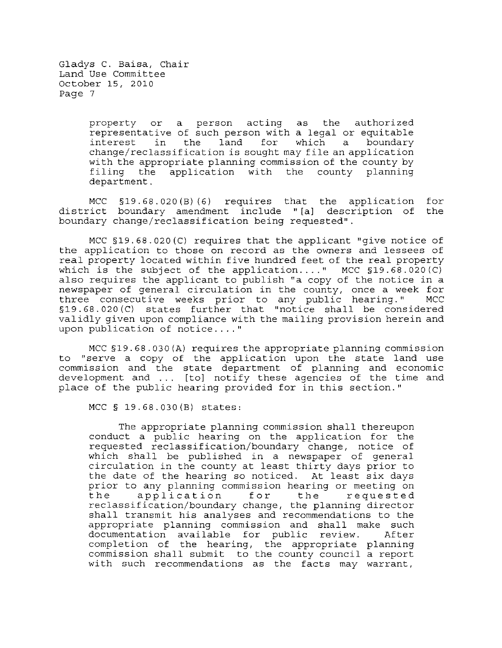> property or a person acting as the authorized representative of such person with a legal or equitable<br>interest in the land for which a boundary interest in the land for which a boundary change/reclassification is sought may file an application with the appropriate planning commission of the county by<br>filing the application with the county planning filing the application with department.

MCC §19.68.020(B)(6) requires that the application for<br>ict boundary amendment include "[a] description of the district boundary amendment include "[a] description of boundary change/reclassification being requested".

MCC §19.68.020(C) requires that the applicant "give notice of the application to those on record as the owners and lessees of real property located within five hundred feet of the real property which is the subject of the application...." MCC  $$19.68.020(C)$ also requires the applicant to publish "a copy of the notice in a newspaper of general circulation in the county, once a week for<br>three consecutive weeks prior to any public hearing." MCC three consecutive weeks prior to any public hearing." §19. 68.020 (C) states further that "notice shall be considered validly given upon compliance with the mailing provision herein and upon publication of notice .... "

MCC §19. 68.030 (A) requires the appropriate planning commission to "serve a copy of the application upon the state land use commission and the state department of planning and economic development and ... [to] notify these agencies of the time and place of the public hearing provided for in this section."

MCC § 19.68.030(B) states:

The appropriate planning commission shall thereupon conduct a public hearing on the application for the requested reclassification/boundary change, notice of which shall be published in a newspaper of general circulation in the county at least thirty days prior to the date of the hearing so noticed. At least six days prior to any planning commission hearing or meeting on<br>the application for the requested prior to any planning commission nearing or meeting on<br>the application for the requested reclassification/boundary change, the planning director shall transmit his analyses and recommendations to the appropriate planning commission and shall make such documentation available for public review. After completion of the hearing, the appropriate planning commission shall submit to the county council a report with such recommendations as the facts may warrant,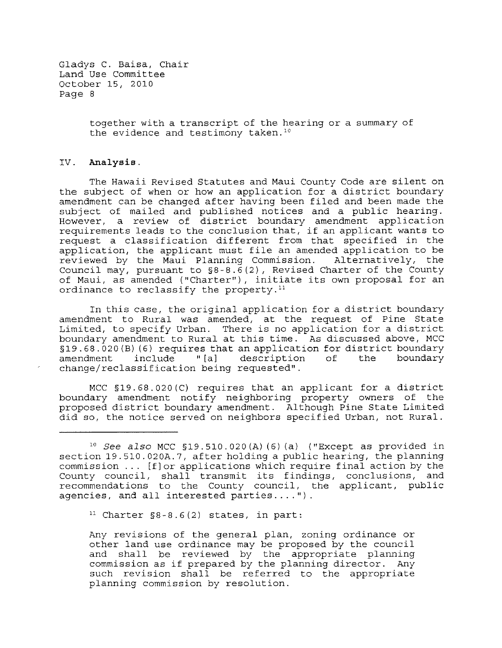> together with a transcript of the hearing or a summary of the evidence and testimony taken.<sup>10</sup>

### **IV. Analysis.**

The Hawaii Revised Statutes and Maui County Code are silent on the subject of when or how an application for a district boundary amendment can be changed after having been filed and been made the subject of mailed and published notices and a public hearing. However, a review of district boundary amendment application requirements leads to the conclusion that, if an applicant wants to request a classification different from that specified in the application, the applicant must file an amended application to be reviewed by the Maui Planning Commission. Alternatively, the Council may, pursuant to  $\S8-8.6(2)$ , Revised Charter of the County of Maui, as amended ("Charter"), initiate its own proposal for an ordinance to reclassify the property.<sup>11</sup>

In this case, the original application for a district boundary amendment to Rural was amended, at the request of Pine State Limited, to specify Urban. There is no application for a district boundary amendment to Rural at this time. As discussed above, MCC §19.68.020(B)(6) requires that an application for district boundary<br>amendment include "[a] description of the boundary description change/reclassification being requested".

MCC §19.68.020(C) requires that an applicant for a district boundary amendment notify neighboring property owners of the proposed district boundary amendment. Although Pine State Limited did so, the notice served on neighbors specified Urban, not Rural.

<sup>11</sup> Charter  $\S 8-8.6(2)$  states, in part:

Any revisions of the general plan, zoning ordinance or other land use ordinance may be proposed by the council and shall be reviewed by the appropriate planning commission as if prepared by the planning director. Any such revision shall be referred to the appropriate planning commission by resolution.

*<sup>10</sup> See also* MCC §19.510.020(A) (6) (a) ("Except as provided in section 19.510.020A.7, after holding a public hearing, the planning commission ... [f)or applications which require final action by the County council, shall transmit its findings, conclusions, and recommendations to the County council, the applicant, public agencies, and all interested **parties .... ")**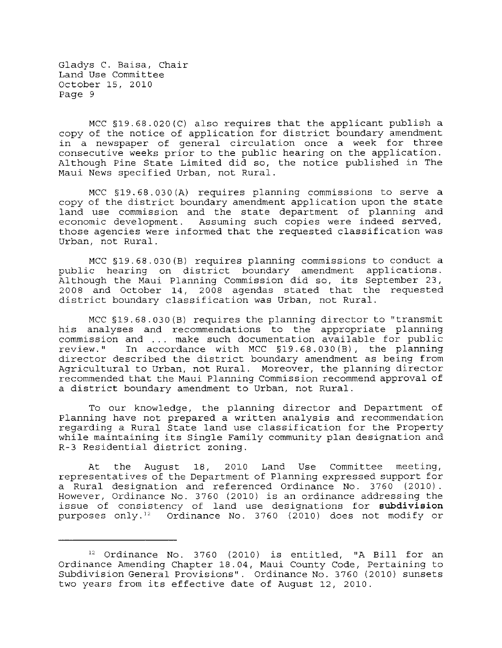MCC §19.6B.020(C) also requires that the applicant publish a copy of the notice of application for district boundary amendment in a newspaper of general circulation once a week for three consecutive weeks prior to the public hearing on the application. Although Pine State Limited did so, the notice published in The Maui News specified Urban, not Rural.

MCC §19. 6B. 030 (A) requires planning commissions to serve a copy of the district boundary amendment application upon the state land use commission and the state department of planning and economic development. Assuming such copies were indeed served, those agencies were informed that the requested classification was Urban, not Rural.

MCC §19.6B.030(B) requires planning commissions to conduct a public hearing on district boundary amendment applications. Although the Maui Planning Commission did so, its September 23, 200B and October 14, 200B agendas stated that the requested district boundary classification was Urban, not Rural.

MCC §19.6B.030(B) requires the planning director to "transmit his analyses and recommendations to the appropriate planning commission and ... make such documentation available for public review." In accordance with MCC §19.6B.030(B), the planning director described the district boundary amendment as being from Agricultural to Urban, not Rural. Moreover, the planning director recommended that the Maui Planning Commission recommend approval of a district boundary amendment to Urban, not Rural.

To our knowledge, the planning director and Department of Planning have not prepared a written analysis and recommendation regarding a Rural State land use classification for the Property while maintaining its Single Family community plan designation and R-3 Residential district zoning.

At the August IB, 2010 Land Use Committee meeting, representatives of the Department of Planning expressed support for a Rural designation and referenced Ordinance No. 3760 (2010). However, Ordinance No. 3760 (2010) is an ordinance addressing the issue of consistency of land use designations for **subdivision**  purposes only.<sup>12</sup> Ordinance No. 3760 (2010) does not modify or

<sup>12</sup> Ordinance No. 3760 (2010) is entitled, "A Bill for an Ordinance Amending Chapter IB.04, Maui County Code, Pertaining to Subdivision General Provisions". Ordinance No. 3760 (2010) sunsets two years from its effective date of August 12, 2010.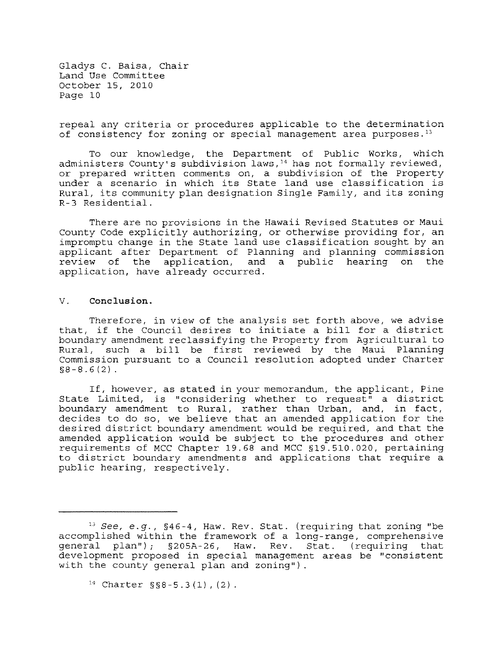repeal any criteria or procedures applicable to the determination of consistency for zoning or special management area purposes. $13$ 

To our knowledge, the Department of Public Works, which administers County's subdivision laws,  $14$  has not formally reviewed, or prepared written comments on, a subdivision of the Property under a scenario in which its State land use classification is Rural, its community plan designation Single Family, and its zoning R-3 Residential.

There are no provisions in the Hawaii Revised Statutes or Maui County Code explicitly authorizing, or otherwise providing for, an impromptu change in the State land use classification sought by an applicant after Department of Planning and planning commission<br>review of the application, and a public hearing on the review of the application, and application, have already occurred.

### V. Conclusion.

Therefore, in view of the analysis set forth above, we advise that, if the Council desires to initiate a bill for a district boundary amendment reclassifying the Property from Agricultural to Rural, such a bill be first reviewed by the Maui Planning Commission pursuant to a Council resolution adopted under Charter  $$8-8.6(2)$ .

If, however, as stated in your memorandum, the applicant, Pine State Limited, is "considering whether to request" a district boundary amendment to Rural, rather than Urban, and, in fact, decides to do so, we believe that an amended application for the desired district boundary amendment would be required, and that the amended application would be subject to the procedures and other requirements of MCC Chapter 19.68 and MCC §19.510.020, pertaining to district boundary amendments and applications that require a public hearing, respectively.

<sup>13</sup>*See, e.g.,* §46-4, Haw. Rev. Stat. (requiring that zoning "be accomplished within the framework of a long-range, comprehensive general plan"); §205A-26, Haw. Rev. Stat. (requiring that development proposed in special management areas be "consistent with the county general plan and zoning").

 $14$  Charter §§8-5.3(1), (2).